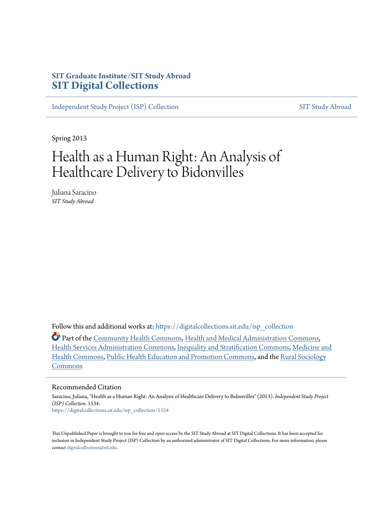## **SIT Graduate Institute/SIT Study Abroad [SIT Digital Collections](https://digitalcollections.sit.edu?utm_source=digitalcollections.sit.edu%2Fisp_collection%2F1534&utm_medium=PDF&utm_campaign=PDFCoverPages)**

[Independent Study Project \(ISP\) Collection](https://digitalcollections.sit.edu/isp_collection?utm_source=digitalcollections.sit.edu%2Fisp_collection%2F1534&utm_medium=PDF&utm_campaign=PDFCoverPages) [SIT Study Abroad](https://digitalcollections.sit.edu/study_abroad?utm_source=digitalcollections.sit.edu%2Fisp_collection%2F1534&utm_medium=PDF&utm_campaign=PDFCoverPages)

Spring 2013

# Health as a Human Right: An Analysis of Healthcare Delivery to Bidonvilles

Juliana Saracino *SIT Study Abroad*

Follow this and additional works at: [https://digitalcollections.sit.edu/isp\\_collection](https://digitalcollections.sit.edu/isp_collection?utm_source=digitalcollections.sit.edu%2Fisp_collection%2F1534&utm_medium=PDF&utm_campaign=PDFCoverPages)

Part of the [Community Health Commons](http://network.bepress.com/hgg/discipline/714?utm_source=digitalcollections.sit.edu%2Fisp_collection%2F1534&utm_medium=PDF&utm_campaign=PDFCoverPages), [Health and Medical Administration Commons](http://network.bepress.com/hgg/discipline/663?utm_source=digitalcollections.sit.edu%2Fisp_collection%2F1534&utm_medium=PDF&utm_campaign=PDFCoverPages), [Health Services Administration Commons](http://network.bepress.com/hgg/discipline/747?utm_source=digitalcollections.sit.edu%2Fisp_collection%2F1534&utm_medium=PDF&utm_campaign=PDFCoverPages), [Inequality and Stratification Commons,](http://network.bepress.com/hgg/discipline/421?utm_source=digitalcollections.sit.edu%2Fisp_collection%2F1534&utm_medium=PDF&utm_campaign=PDFCoverPages) [Medicine and](http://network.bepress.com/hgg/discipline/422?utm_source=digitalcollections.sit.edu%2Fisp_collection%2F1534&utm_medium=PDF&utm_campaign=PDFCoverPages) [Health Commons,](http://network.bepress.com/hgg/discipline/422?utm_source=digitalcollections.sit.edu%2Fisp_collection%2F1534&utm_medium=PDF&utm_campaign=PDFCoverPages) [Public Health Education and Promotion Commons,](http://network.bepress.com/hgg/discipline/743?utm_source=digitalcollections.sit.edu%2Fisp_collection%2F1534&utm_medium=PDF&utm_campaign=PDFCoverPages) and the [Rural Sociology](http://network.bepress.com/hgg/discipline/428?utm_source=digitalcollections.sit.edu%2Fisp_collection%2F1534&utm_medium=PDF&utm_campaign=PDFCoverPages) [Commons](http://network.bepress.com/hgg/discipline/428?utm_source=digitalcollections.sit.edu%2Fisp_collection%2F1534&utm_medium=PDF&utm_campaign=PDFCoverPages)

#### Recommended Citation

Saracino, Juliana, "Health as a Human Right: An Analysis of Healthcare Delivery to Bidonvilles" (2013). *Independent Study Project (ISP) Collection*. 1534. [https://digitalcollections.sit.edu/isp\\_collection/1534](https://digitalcollections.sit.edu/isp_collection/1534?utm_source=digitalcollections.sit.edu%2Fisp_collection%2F1534&utm_medium=PDF&utm_campaign=PDFCoverPages)

This Unpublished Paper is brought to you for free and open access by the SIT Study Abroad at SIT Digital Collections. It has been accepted for inclusion in Independent Study Project (ISP) Collection by an authorized administrator of SIT Digital Collections. For more information, please contact [digitalcollections@sit.edu](mailto:digitalcollections@sit.edu).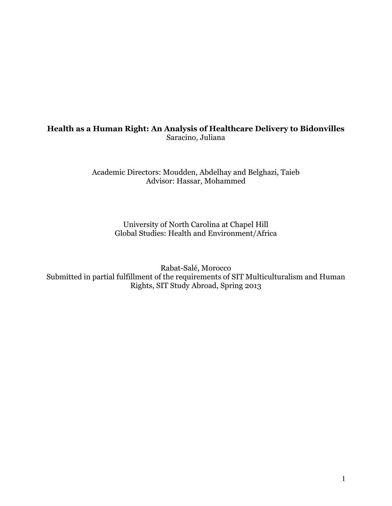## Health as a Human Right: An Analysis of Healthcare Delivery to Bidonvilles Saracino, Juliana

Academic Directors: Moudden, Abdelhay and Belghazi, Taieb Advisor: Hassar, Mohammed

> University of North Carolina at Chapel Hill Global Studies: Health and Environment/Africa

Rabat-Salé, Morocco Submitted in partial fulfillment of the requirements of SIT Multiculturalism and Human Rights, SIT Study Abroad, Spring 2013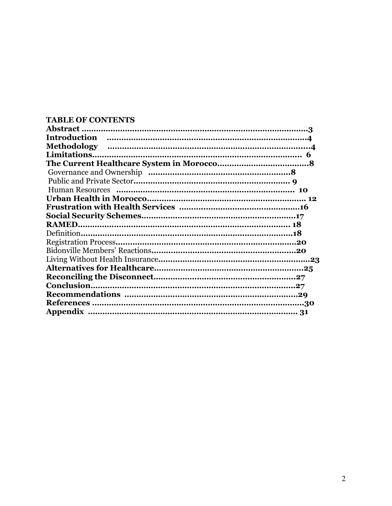## TABLE OF CONTENTS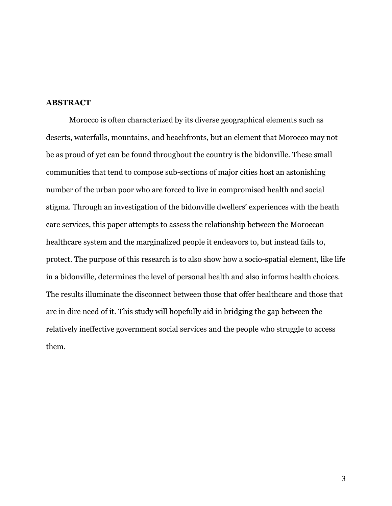#### ABSTRACT

Morocco is often characterized by its diverse geographical elements such as deserts, waterfalls, mountains, and beachfronts, but an element that Morocco may not be as proud of yet can be found throughout the country is the bidonville. These small communities that tend to compose sub-sections of major cities host an astonishing number of the urban poor who are forced to live in compromised health and social stigma. Through an investigation of the bidonville dwellers' experiences with the heath care services, this paper attempts to assess the relationship between the Moroccan healthcare system and the marginalized people it endeavors to, but instead fails to, protect. The purpose of this research is to also show how a socio-spatial element, like life in a bidonville, determines the level of personal health and also informs health choices. The results illuminate the disconnect between those that offer healthcare and those that are in dire need of it. This study will hopefully aid in bridging the gap between the relatively ineffective government social services and the people who struggle to access them.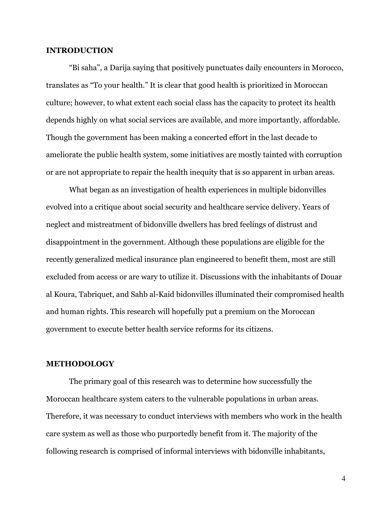#### INTRODUCTION

"Bi saha", a Darija saying that positively punctuates daily encounters in Morocco, translates as "To your health." It is clear that good health is prioritized in Moroccan culture; however, to what extent each social class has the capacity to protect its health depends highly on what social services are available, and more importantly, affordable. Though the government has been making a concerted effort in the last decade to ameliorate the public health system, some initiatives are mostly tainted with corruption or are not appropriate to repair the health inequity that is so apparent in urban areas.

What began as an investigation of health experiences in multiple bidonvilles evolved into a critique about social security and healthcare service delivery. Years of neglect and mistreatment of bidonville dwellers has bred feelings of distrust and disappointment in the government. Although these populations are eligible for the recently generalized medical insurance plan engineered to benefit them, most are still excluded from access or are wary to utilize it. Discussions with the inhabitants of Douar al Koura, Tabriquet, and Sahb al-Kaid bidonvilles illuminated their compromised health and human rights. This research will hopefully put a premium on the Moroccan government to execute better health service reforms for its citizens.

#### METHODOLOGY

The primary goal of this research was to determine how successfully the Moroccan healthcare system caters to the vulnerable populations in urban areas. Therefore, it was necessary to conduct interviews with members who work in the health care system as well as those who purportedly benefit from it. The majority of the following research is comprised of informal interviews with bidonville inhabitants,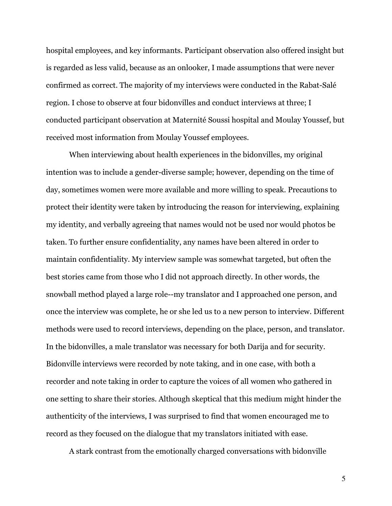hospital employees, and key informants. Participant observation also offered insight but is regarded as less valid, because as an onlooker, I made assumptions that were never confirmed as correct. The majority of my interviews were conducted in the Rabat-Salé region. I chose to observe at four bidonvilles and conduct interviews at three; I conducted participant observation at Maternité Soussi hospital and Moulay Youssef, but received most information from Moulay Youssef employees.

When interviewing about health experiences in the bidonvilles, my original intention was to include a gender-diverse sample; however, depending on the time of day, sometimes women were more available and more willing to speak. Precautions to protect their identity were taken by introducing the reason for interviewing, explaining my identity, and verbally agreeing that names would not be used nor would photos be taken. To further ensure confidentiality, any names have been altered in order to maintain confidentiality. My interview sample was somewhat targeted, but often the best stories came from those who I did not approach directly. In other words, the snowball method played a large role--my translator and I approached one person, and once the interview was complete, he or she led us to a new person to interview. Different methods were used to record interviews, depending on the place, person, and translator. In the bidonvilles, a male translator was necessary for both Darija and for security. Bidonville interviews were recorded by note taking, and in one case, with both a recorder and note taking in order to capture the voices of all women who gathered in one setting to share their stories. Although skeptical that this medium might hinder the authenticity of the interviews, I was surprised to find that women encouraged me to record as they focused on the dialogue that my translators initiated with ease.

A stark contrast from the emotionally charged conversations with bidonville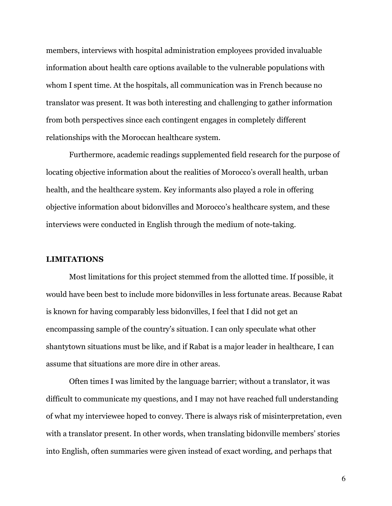members, interviews with hospital administration employees provided invaluable information about health care options available to the vulnerable populations with whom I spent time. At the hospitals, all communication was in French because no translator was present. It was both interesting and challenging to gather information from both perspectives since each contingent engages in completely different relationships with the Moroccan healthcare system.

Furthermore, academic readings supplemented field research for the purpose of locating objective information about the realities of Morocco's overall health, urban health, and the healthcare system. Key informants also played a role in offering objective information about bidonvilles and Morocco's healthcare system, and these interviews were conducted in English through the medium of note-taking.

#### LIMITATIONS

Most limitations for this project stemmed from the allotted time. If possible, it would have been best to include more bidonvilles in less fortunate areas. Because Rabat is known for having comparably less bidonvilles, I feel that I did not get an encompassing sample of the country's situation. I can only speculate what other shantytown situations must be like, and if Rabat is a major leader in healthcare, I can assume that situations are more dire in other areas.

Often times I was limited by the language barrier; without a translator, it was difficult to communicate my questions, and I may not have reached full understanding of what my interviewee hoped to convey. There is always risk of misinterpretation, even with a translator present. In other words, when translating bidonville members' stories into English, often summaries were given instead of exact wording, and perhaps that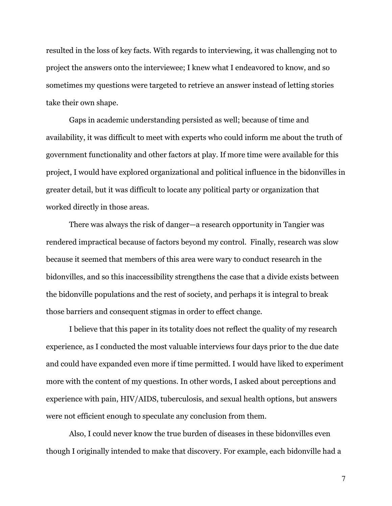resulted in the loss of key facts. With regards to interviewing, it was challenging not to project the answers onto the interviewee; I knew what I endeavored to know, and so sometimes my questions were targeted to retrieve an answer instead of letting stories take their own shape.

Gaps in academic understanding persisted as well; because of time and availability, it was difficult to meet with experts who could inform me about the truth of government functionality and other factors at play. If more time were available for this project, I would have explored organizational and political influence in the bidonvilles in greater detail, but it was difficult to locate any political party or organization that worked directly in those areas.

There was always the risk of danger—a research opportunity in Tangier was rendered impractical because of factors beyond my control. Finally, research was slow because it seemed that members of this area were wary to conduct research in the bidonvilles, and so this inaccessibility strengthens the case that a divide exists between the bidonville populations and the rest of society, and perhaps it is integral to break those barriers and consequent stigmas in order to effect change.

I believe that this paper in its totality does not reflect the quality of my research experience, as I conducted the most valuable interviews four days prior to the due date and could have expanded even more if time permitted. I would have liked to experiment more with the content of my questions. In other words, I asked about perceptions and experience with pain, HIV/AIDS, tuberculosis, and sexual health options, but answers were not efficient enough to speculate any conclusion from them.

Also, I could never know the true burden of diseases in these bidonvilles even though I originally intended to make that discovery. For example, each bidonville had a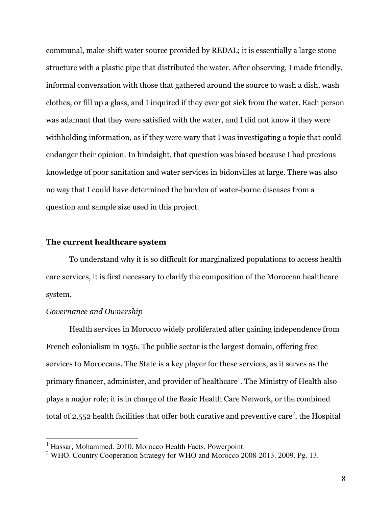communal, make-shift water source provided by REDAL; it is essentially a large stone structure with a plastic pipe that distributed the water. After observing, I made friendly, informal conversation with those that gathered around the source to wash a dish, wash clothes, or fill up a glass, and I inquired if they ever got sick from the water. Each person was adamant that they were satisfied with the water, and I did not know if they were withholding information, as if they were wary that I was investigating a topic that could endanger their opinion. In hindsight, that question was biased because I had previous knowledge of poor sanitation and water services in bidonvilles at large. There was also no way that I could have determined the burden of water-borne diseases from a question and sample size used in this project.

#### The current healthcare system

To understand why it is so difficult for marginalized populations to access health care services, it is first necessary to clarify the composition of the Moroccan healthcare system.

#### Governance and Ownership

Health services in Morocco widely proliferated after gaining independence from French colonialism in 1956. The public sector is the largest domain, offering free services to Moroccans. The State is a key player for these services, as it serves as the primary financer, administer, and provider of healthcare<sup>1</sup>. The Ministry of Health also plays a major role; it is in charge of the Basic Health Care Network, or the combined total of 2,552 health facilities that offer both curative and preventive care<sup>2</sup>, the Hospital

 1 Hassar, Mohammed. 2010. Morocco Health Facts. Powerpoint.

<sup>&</sup>lt;sup>2</sup> WHO. Country Cooperation Strategy for WHO and Morocco 2008-2013. 2009. Pg. 13.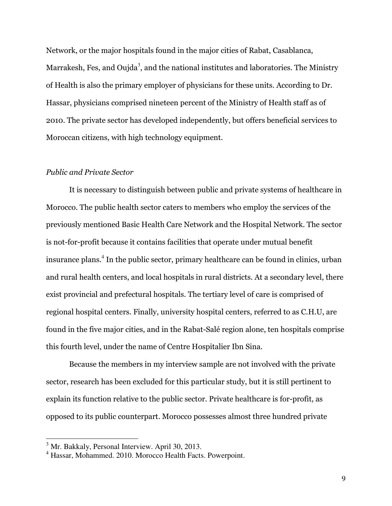Network, or the major hospitals found in the major cities of Rabat, Casablanca, Marrakesh, Fes, and Oujda $^3$ , and the national institutes and laboratories. The Ministry of Health is also the primary employer of physicians for these units. According to Dr. Hassar, physicians comprised nineteen percent of the Ministry of Health staff as of 2010. The private sector has developed independently, but offers beneficial services to Moroccan citizens, with high technology equipment.

#### Public and Private Sector

It is necessary to distinguish between public and private systems of healthcare in Morocco. The public health sector caters to members who employ the services of the previously mentioned Basic Health Care Network and the Hospital Network. The sector is not-for-profit because it contains facilities that operate under mutual benefit insurance plans.<sup>4</sup> In the public sector, primary healthcare can be found in clinics, urban and rural health centers, and local hospitals in rural districts. At a secondary level, there exist provincial and prefectural hospitals. The tertiary level of care is comprised of regional hospital centers. Finally, university hospital centers, referred to as C.H.U, are found in the five major cities, and in the Rabat-Salé region alone, ten hospitals comprise this fourth level, under the name of Centre Hospitalier Ibn Sina.

Because the members in my interview sample are not involved with the private sector, research has been excluded for this particular study, but it is still pertinent to explain its function relative to the public sector. Private healthcare is for-profit, as opposed to its public counterpart. Morocco possesses almost three hundred private

<sup>&</sup>lt;sup>3</sup> Mr. Bakkaly, Personal Interview. April 30, 2013.

<sup>4</sup> Hassar, Mohammed. 2010. Morocco Health Facts. Powerpoint.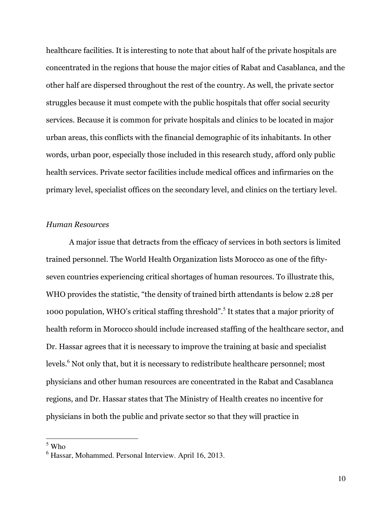healthcare facilities. It is interesting to note that about half of the private hospitals are concentrated in the regions that house the major cities of Rabat and Casablanca, and the other half are dispersed throughout the rest of the country. As well, the private sector struggles because it must compete with the public hospitals that offer social security services. Because it is common for private hospitals and clinics to be located in major urban areas, this conflicts with the financial demographic of its inhabitants. In other words, urban poor, especially those included in this research study, afford only public health services. Private sector facilities include medical offices and infirmaries on the primary level, specialist offices on the secondary level, and clinics on the tertiary level.

#### Human Resources

A major issue that detracts from the efficacy of services in both sectors is limited trained personnel. The World Health Organization lists Morocco as one of the fiftyseven countries experiencing critical shortages of human resources. To illustrate this, WHO provides the statistic, "the density of trained birth attendants is below 2.28 per 1000 population, WHO's critical staffing threshold".<sup>5</sup> It states that a major priority of health reform in Morocco should include increased staffing of the healthcare sector, and Dr. Hassar agrees that it is necessary to improve the training at basic and specialist levels.<sup>6</sup> Not only that, but it is necessary to redistribute healthcare personnel; most physicians and other human resources are concentrated in the Rabat and Casablanca regions, and Dr. Hassar states that The Ministry of Health creates no incentive for physicians in both the public and private sector so that they will practice in

 $\frac{1}{5}$  Who

<sup>6</sup> Hassar, Mohammed. Personal Interview. April 16, 2013.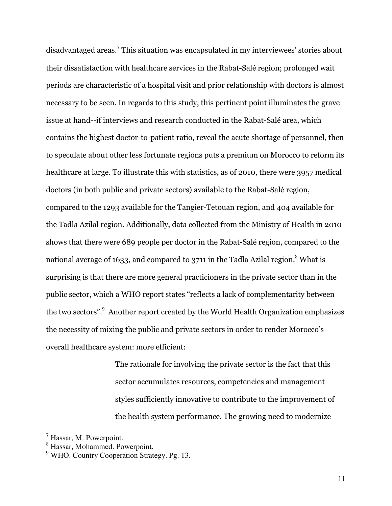disadvantaged areas.<sup>7</sup> This situation was encapsulated in my interviewees' stories about their dissatisfaction with healthcare services in the Rabat-Salé region; prolonged wait periods are characteristic of a hospital visit and prior relationship with doctors is almost necessary to be seen. In regards to this study, this pertinent point illuminates the grave issue at hand--if interviews and research conducted in the Rabat-Salé area, which contains the highest doctor-to-patient ratio, reveal the acute shortage of personnel, then to speculate about other less fortunate regions puts a premium on Morocco to reform its healthcare at large. To illustrate this with statistics, as of 2010, there were 3957 medical doctors (in both public and private sectors) available to the Rabat-Salé region, compared to the 1293 available for the Tangier-Tetouan region, and 404 available for the Tadla Azilal region. Additionally, data collected from the Ministry of Health in 2010 shows that there were 689 people per doctor in the Rabat-Salé region, compared to the national average of 1633, and compared to 3711 in the Tadla Azilal region. $^8$  What is surprising is that there are more general practicioners in the private sector than in the public sector, which a WHO report states "reflects a lack of complementarity between the two sectors".<sup>9</sup> Another report created by the World Health Organization emphasizes the necessity of mixing the public and private sectors in order to render Morocco's overall healthcare system: more efficient:

> The rationale for involving the private sector is the fact that this sector accumulates resources, competencies and management styles sufficiently innovative to contribute to the improvement of the health system performance. The growing need to modernize

 7 Hassar, M. Powerpoint.

<sup>&</sup>lt;sup>8</sup> Hassar, Mohammed. Powerpoint.

<sup>&</sup>lt;sup>9</sup> WHO. Country Cooperation Strategy. Pg. 13.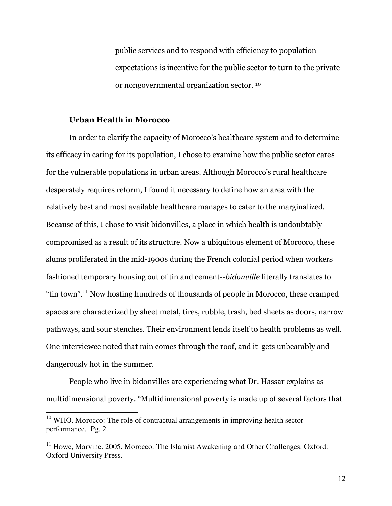public services and to respond with efficiency to population expectations is incentive for the public sector to turn to the private or nongovernmental organization sector. <sup>10</sup>

#### Urban Health in Morocco

In order to clarify the capacity of Morocco's healthcare system and to determine its efficacy in caring for its population, I chose to examine how the public sector cares for the vulnerable populations in urban areas. Although Morocco's rural healthcare desperately requires reform, I found it necessary to define how an area with the relatively best and most available healthcare manages to cater to the marginalized. Because of this, I chose to visit bidonvilles, a place in which health is undoubtably compromised as a result of its structure. Now a ubiquitous element of Morocco, these slums proliferated in the mid-1900s during the French colonial period when workers fashioned temporary housing out of tin and cement--bidonville literally translates to "tin town".<sup>11</sup> Now hosting hundreds of thousands of people in Morocco, these cramped spaces are characterized by sheet metal, tires, rubble, trash, bed sheets as doors, narrow pathways, and sour stenches. Their environment lends itself to health problems as well. One interviewee noted that rain comes through the roof, and it gets unbearably and dangerously hot in the summer.

People who live in bidonvilles are experiencing what Dr. Hassar explains as multidimensional poverty. "Multidimensional poverty is made up of several factors that

 $10$  WHO. Morocco: The role of contractual arrangements in improving health sector performance. Pg. 2.

 $11$  Howe, Marvine. 2005. Morocco: The Islamist Awakening and Other Challenges. Oxford: Oxford University Press.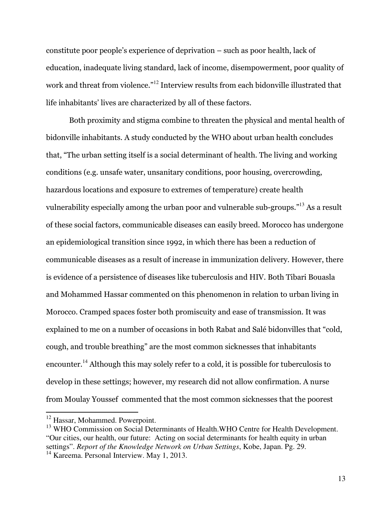constitute poor people's experience of deprivation – such as poor health, lack of education, inadequate living standard, lack of income, disempowerment, poor quality of work and threat from violence."<sup>12</sup> Interview results from each bidonville illustrated that life inhabitants' lives are characterized by all of these factors.

Both proximity and stigma combine to threaten the physical and mental health of bidonville inhabitants. A study conducted by the WHO about urban health concludes that, "The urban setting itself is a social determinant of health. The living and working conditions (e.g. unsafe water, unsanitary conditions, poor housing, overcrowding, hazardous locations and exposure to extremes of temperature) create health vulnerability especially among the urban poor and vulnerable sub-groups."<sup>13</sup> As a result of these social factors, communicable diseases can easily breed. Morocco has undergone an epidemiological transition since 1992, in which there has been a reduction of communicable diseases as a result of increase in immunization delivery. However, there is evidence of a persistence of diseases like tuberculosis and HIV. Both Tibari Bouasla and Mohammed Hassar commented on this phenomenon in relation to urban living in Morocco. Cramped spaces foster both promiscuity and ease of transmission. It was explained to me on a number of occasions in both Rabat and Salé bidonvilles that "cold, cough, and trouble breathing" are the most common sicknesses that inhabitants encounter.<sup>14</sup> Although this may solely refer to a cold, it is possible for tuberculosis to develop in these settings; however, my research did not allow confirmation. A nurse from Moulay Youssef commented that the most common sicknesses that the poorest

<sup>&</sup>lt;sup>12</sup> Hassar, Mohammed. Powerpoint.

<sup>&</sup>lt;sup>13</sup> WHO Commission on Social Determinants of Health.WHO Centre for Health Development. "Our cities, our health, our future: Acting on social determinants for health equity in urban settings". *Report of the Knowledge Network on Urban Settings*, Kobe, Japan. Pg. 29.

 $14$  Kareema. Personal Interview. May 1, 2013.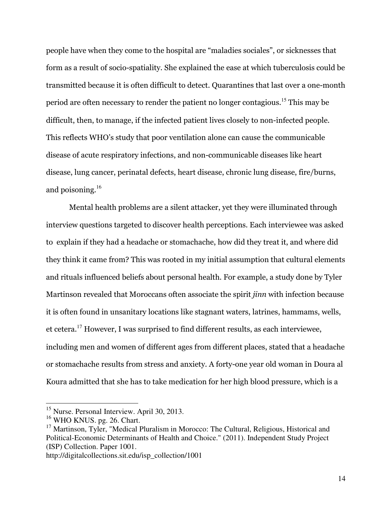people have when they come to the hospital are "maladies sociales", or sicknesses that form as a result of socio-spatiality. She explained the ease at which tuberculosis could be transmitted because it is often difficult to detect. Quarantines that last over a one-month period are often necessary to render the patient no longer contagious.<sup>15</sup> This may be difficult, then, to manage, if the infected patient lives closely to non-infected people. This reflects WHO's study that poor ventilation alone can cause the communicable disease of acute respiratory infections, and non-communicable diseases like heart disease, lung cancer, perinatal defects, heart disease, chronic lung disease, fire/burns, and poisoning. $16$ 

Mental health problems are a silent attacker, yet they were illuminated through interview questions targeted to discover health perceptions. Each interviewee was asked to explain if they had a headache or stomachache, how did they treat it, and where did they think it came from? This was rooted in my initial assumption that cultural elements and rituals influenced beliefs about personal health. For example, a study done by Tyler Martinson revealed that Moroccans often associate the spirit jinn with infection because it is often found in unsanitary locations like stagnant waters, latrines, hammams, wells, et cetera.<sup>17</sup> However, I was surprised to find different results, as each interviewee, including men and women of different ages from different places, stated that a headache or stomachache results from stress and anxiety. A forty-one year old woman in Doura al Koura admitted that she has to take medication for her high blood pressure, which is a

 $\overline{a}$ 

http://digitalcollections.sit.edu/isp\_collection/1001

<sup>&</sup>lt;sup>15</sup> Nurse. Personal Interview. April 30, 2013.

<sup>&</sup>lt;sup>16</sup> WHO KNUS. pg. 26. Chart.

<sup>&</sup>lt;sup>17</sup> Martinson, Tyler, "Medical Pluralism in Morocco: The Cultural, Religious, Historical and Political-Economic Determinants of Health and Choice." (2011). Independent Study Project (ISP) Collection. Paper 1001.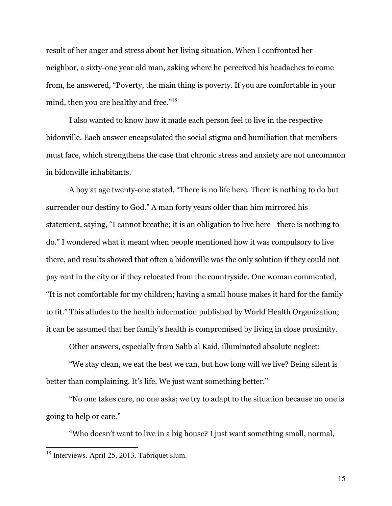result of her anger and stress about her living situation. When I confronted her neighbor, a sixty-one year old man, asking where he perceived his headaches to come from, he answered, "Poverty, the main thing is poverty. If you are comfortable in your mind, then you are healthy and free."<sup>18</sup>

I also wanted to know how it made each person feel to live in the respective bidonville. Each answer encapsulated the social stigma and humiliation that members must face, which strengthens the case that chronic stress and anxiety are not uncommon in bidonville inhabitants.

A boy at age twenty-one stated, "There is no life here. There is nothing to do but surrender our destiny to God." A man forty years older than him mirrored his statement, saying, "I cannot breathe; it is an obligation to live here—there is nothing to do." I wondered what it meant when people mentioned how it was compulsory to live there, and results showed that often a bidonville was the only solution if they could not pay rent in the city or if they relocated from the countryside. One woman commented, "It is not comfortable for my children; having a small house makes it hard for the family to fit." This alludes to the health information published by World Health Organization; it can be assumed that her family's health is compromised by living in close proximity.

Other answers, especially from Sahb al Kaid, illuminated absolute neglect:

"We stay clean, we eat the best we can, but how long will we live? Being silent is better than complaining. It's life. We just want something better."

"No one takes care, no one asks; we try to adapt to the situation because no one is going to help or care."

"Who doesn't want to live in a big house? I just want something small, normal,

 $\overline{a}$ 

 $18$  Interviews. April 25, 2013. Tabriquet slum.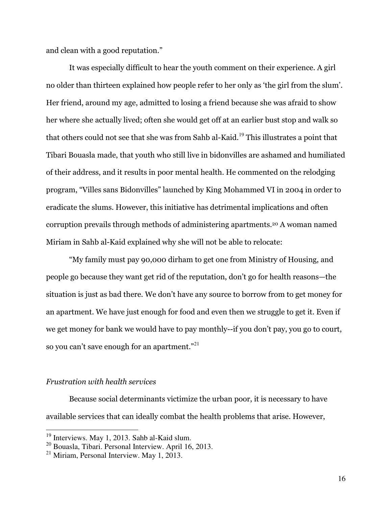and clean with a good reputation."

It was especially difficult to hear the youth comment on their experience. A girl no older than thirteen explained how people refer to her only as 'the girl from the slum'. Her friend, around my age, admitted to losing a friend because she was afraid to show her where she actually lived; often she would get off at an earlier bust stop and walk so that others could not see that she was from Sahb al-Kaid.<sup>19</sup> This illustrates a point that Tibari Bouasla made, that youth who still live in bidonvilles are ashamed and humiliated of their address, and it results in poor mental health. He commented on the relodging program, "Villes sans Bidonvilles" launched by King Mohammed VI in 2004 in order to eradicate the slums. However, this initiative has detrimental implications and often corruption prevails through methods of administering apartments.20 A woman named Miriam in Sahb al-Kaid explained why she will not be able to relocate:

"My family must pay 90,000 dirham to get one from Ministry of Housing, and people go because they want get rid of the reputation, don't go for health reasons—the situation is just as bad there. We don't have any source to borrow from to get money for an apartment. We have just enough for food and even then we struggle to get it. Even if we get money for bank we would have to pay monthly--if you don't pay, you go to court, so you can't save enough for an apartment."<sup>21</sup>

#### Frustration with health services

 $\overline{a}$ 

Because social determinants victimize the urban poor, it is necessary to have available services that can ideally combat the health problems that arise. However,

 $19$  Interviews. May 1, 2013. Sahb al-Kaid slum.

<sup>20</sup> Bouasla, Tibari. Personal Interview. April 16, 2013.

 $^{21}$  Miriam, Personal Interview. May 1, 2013.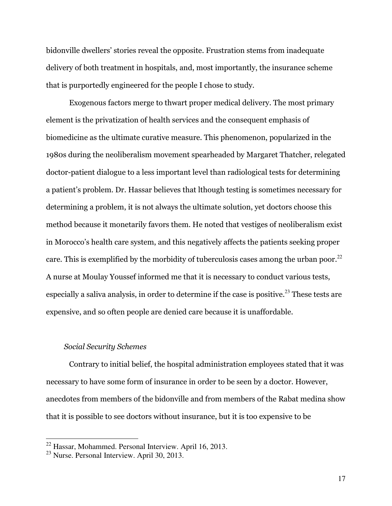bidonville dwellers' stories reveal the opposite. Frustration stems from inadequate delivery of both treatment in hospitals, and, most importantly, the insurance scheme that is purportedly engineered for the people I chose to study.

Exogenous factors merge to thwart proper medical delivery. The most primary element is the privatization of health services and the consequent emphasis of biomedicine as the ultimate curative measure. This phenomenon, popularized in the 1980s during the neoliberalism movement spearheaded by Margaret Thatcher, relegated doctor-patient dialogue to a less important level than radiological tests for determining a patient's problem. Dr. Hassar believes that lthough testing is sometimes necessary for determining a problem, it is not always the ultimate solution, yet doctors choose this method because it monetarily favors them. He noted that vestiges of neoliberalism exist in Morocco's health care system, and this negatively affects the patients seeking proper care. This is exemplified by the morbidity of tuberculosis cases among the urban poor.<sup>22</sup> A nurse at Moulay Youssef informed me that it is necessary to conduct various tests, especially a saliva analysis, in order to determine if the case is positive.<sup>23</sup> These tests are expensive, and so often people are denied care because it is unaffordable.

#### Social Security Schemes

Contrary to initial belief, the hospital administration employees stated that it was necessary to have some form of insurance in order to be seen by a doctor. However, anecdotes from members of the bidonville and from members of the Rabat medina show that it is possible to see doctors without insurance, but it is too expensive to be

 $22$  Hassar, Mohammed. Personal Interview. April 16, 2013.

<sup>23</sup> Nurse. Personal Interview. April 30, 2013.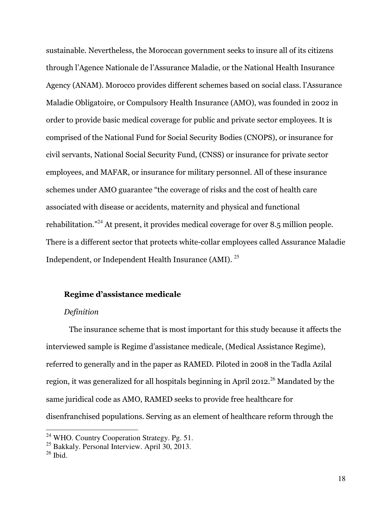sustainable. Nevertheless, the Moroccan government seeks to insure all of its citizens through l'Agence Nationale de l'Assurance Maladie, or the National Health Insurance Agency (ANAM). Morocco provides different schemes based on social class. l'Assurance Maladie Obligatoire, or Compulsory Health Insurance (AMO), was founded in 2002 in order to provide basic medical coverage for public and private sector employees. It is comprised of the National Fund for Social Security Bodies (CNOPS), or insurance for civil servants, National Social Security Fund, (CNSS) or insurance for private sector employees, and MAFAR, or insurance for military personnel. All of these insurance schemes under AMO guarantee "the coverage of risks and the cost of health care associated with disease or accidents, maternity and physical and functional rehabilitation."<sup>24</sup> At present, it provides medical coverage for over 8.5 million people. There is a different sector that protects white-collar employees called Assurance Maladie Independent, or Independent Health Insurance (AMI). <sup>25</sup>

#### Regime d'assistance medicale

#### Definition

The insurance scheme that is most important for this study because it affects the interviewed sample is Regime d'assistance medicale, (Medical Assistance Regime), referred to generally and in the paper as RAMED. Piloted in 2008 in the Tadla Azilal region, it was generalized for all hospitals beginning in April 2012.<sup>26</sup> Mandated by the same juridical code as AMO, RAMED seeks to provide free healthcare for disenfranchised populations. Serving as an element of healthcare reform through the

-

<sup>&</sup>lt;sup>24</sup> WHO. Country Cooperation Strategy. Pg. 51.

<sup>&</sup>lt;sup>25</sup> Bakkaly. Personal Interview. April 30, 2013.

 $26$  Ibid.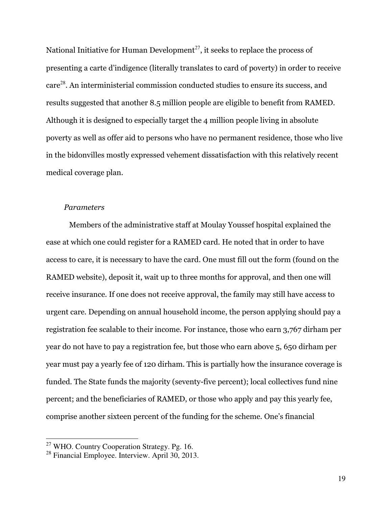National Initiative for Human Development<sup>27</sup>, it seeks to replace the process of presenting a carte d'indigence (literally translates to card of poverty) in order to receive care<sup>28</sup>. An interministerial commission conducted studies to ensure its success, and results suggested that another 8.5 million people are eligible to benefit from RAMED. Although it is designed to especially target the 4 million people living in absolute poverty as well as offer aid to persons who have no permanent residence, those who live in the bidonvilles mostly expressed vehement dissatisfaction with this relatively recent medical coverage plan.

#### Parameters

Members of the administrative staff at Moulay Youssef hospital explained the ease at which one could register for a RAMED card. He noted that in order to have access to care, it is necessary to have the card. One must fill out the form (found on the RAMED website), deposit it, wait up to three months for approval, and then one will receive insurance. If one does not receive approval, the family may still have access to urgent care. Depending on annual household income, the person applying should pay a registration fee scalable to their income. For instance, those who earn 3,767 dirham per year do not have to pay a registration fee, but those who earn above 5, 650 dirham per year must pay a yearly fee of 120 dirham. This is partially how the insurance coverage is funded. The State funds the majority (seventy-five percent); local collectives fund nine percent; and the beneficiaries of RAMED, or those who apply and pay this yearly fee, comprise another sixteen percent of the funding for the scheme. One's financial

<sup>&</sup>lt;sup>27</sup> WHO. Country Cooperation Strategy. Pg. 16.

 $^{28}$  Financial Employee. Interview. April 30, 2013.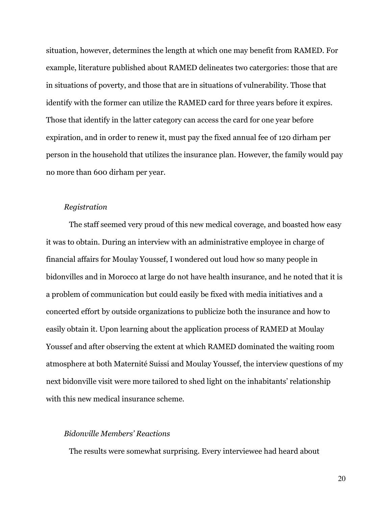situation, however, determines the length at which one may benefit from RAMED. For example, literature published about RAMED delineates two catergories: those that are in situations of poverty, and those that are in situations of vulnerability. Those that identify with the former can utilize the RAMED card for three years before it expires. Those that identify in the latter category can access the card for one year before expiration, and in order to renew it, must pay the fixed annual fee of 120 dirham per person in the household that utilizes the insurance plan. However, the family would pay no more than 600 dirham per year.

#### Registration

The staff seemed very proud of this new medical coverage, and boasted how easy it was to obtain. During an interview with an administrative employee in charge of financial affairs for Moulay Youssef, I wondered out loud how so many people in bidonvilles and in Morocco at large do not have health insurance, and he noted that it is a problem of communication but could easily be fixed with media initiatives and a concerted effort by outside organizations to publicize both the insurance and how to easily obtain it. Upon learning about the application process of RAMED at Moulay Youssef and after observing the extent at which RAMED dominated the waiting room atmosphere at both Maternité Suissi and Moulay Youssef, the interview questions of my next bidonville visit were more tailored to shed light on the inhabitants' relationship with this new medical insurance scheme.

## Bidonville Members' Reactions

The results were somewhat surprising. Every interviewee had heard about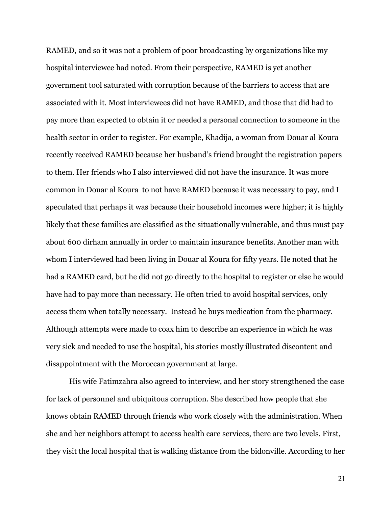RAMED, and so it was not a problem of poor broadcasting by organizations like my hospital interviewee had noted. From their perspective, RAMED is yet another government tool saturated with corruption because of the barriers to access that are associated with it. Most interviewees did not have RAMED, and those that did had to pay more than expected to obtain it or needed a personal connection to someone in the health sector in order to register. For example, Khadija, a woman from Douar al Koura recently received RAMED because her husband's friend brought the registration papers to them. Her friends who I also interviewed did not have the insurance. It was more common in Douar al Koura to not have RAMED because it was necessary to pay, and I speculated that perhaps it was because their household incomes were higher; it is highly likely that these families are classified as the situationally vulnerable, and thus must pay about 600 dirham annually in order to maintain insurance benefits. Another man with whom I interviewed had been living in Douar al Koura for fifty years. He noted that he had a RAMED card, but he did not go directly to the hospital to register or else he would have had to pay more than necessary. He often tried to avoid hospital services, only access them when totally necessary. Instead he buys medication from the pharmacy. Although attempts were made to coax him to describe an experience in which he was very sick and needed to use the hospital, his stories mostly illustrated discontent and disappointment with the Moroccan government at large.

His wife Fatimzahra also agreed to interview, and her story strengthened the case for lack of personnel and ubiquitous corruption. She described how people that she knows obtain RAMED through friends who work closely with the administration. When she and her neighbors attempt to access health care services, there are two levels. First, they visit the local hospital that is walking distance from the bidonville. According to her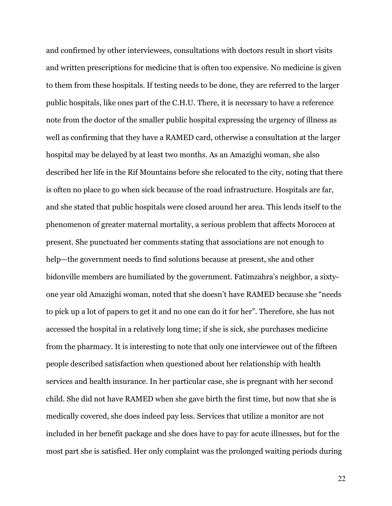and confirmed by other interviewees, consultations with doctors result in short visits and written prescriptions for medicine that is often too expensive. No medicine is given to them from these hospitals. If testing needs to be done, they are referred to the larger public hospitals, like ones part of the C.H.U. There, it is necessary to have a reference note from the doctor of the smaller public hospital expressing the urgency of illness as well as confirming that they have a RAMED card, otherwise a consultation at the larger hospital may be delayed by at least two months. As an Amazighi woman, she also described her life in the Rif Mountains before she relocated to the city, noting that there is often no place to go when sick because of the road infrastructure. Hospitals are far, and she stated that public hospitals were closed around her area. This lends itself to the phenomenon of greater maternal mortality, a serious problem that affects Morocco at present. She punctuated her comments stating that associations are not enough to help—the government needs to find solutions because at present, she and other bidonville members are humiliated by the government. Fatimzahra's neighbor, a sixtyone year old Amazighi woman, noted that she doesn't have RAMED because she "needs to pick up a lot of papers to get it and no one can do it for her". Therefore, she has not accessed the hospital in a relatively long time; if she is sick, she purchases medicine from the pharmacy. It is interesting to note that only one interviewee out of the fifteen people described satisfaction when questioned about her relationship with health services and health insurance. In her particular case, she is pregnant with her second child. She did not have RAMED when she gave birth the first time, but now that she is medically covered, she does indeed pay less. Services that utilize a monitor are not included in her benefit package and she does have to pay for acute illnesses, but for the most part she is satisfied. Her only complaint was the prolonged waiting periods during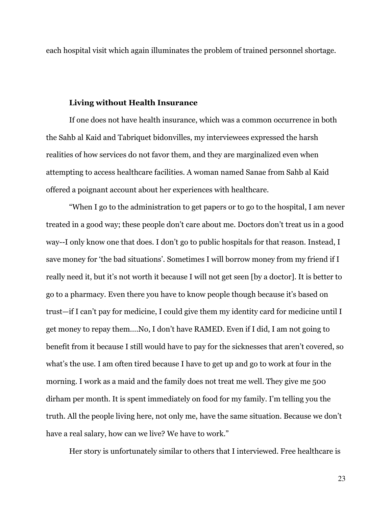each hospital visit which again illuminates the problem of trained personnel shortage.

#### Living without Health Insurance

If one does not have health insurance, which was a common occurrence in both the Sahb al Kaid and Tabriquet bidonvilles, my interviewees expressed the harsh realities of how services do not favor them, and they are marginalized even when attempting to access healthcare facilities. A woman named Sanae from Sahb al Kaid offered a poignant account about her experiences with healthcare.

"When I go to the administration to get papers or to go to the hospital, I am never treated in a good way; these people don't care about me. Doctors don't treat us in a good way--I only know one that does. I don't go to public hospitals for that reason. Instead, I save money for 'the bad situations'. Sometimes I will borrow money from my friend if I really need it, but it's not worth it because I will not get seen [by a doctor]. It is better to go to a pharmacy. Even there you have to know people though because it's based on trust—if I can't pay for medicine, I could give them my identity card for medicine until I get money to repay them….No, I don't have RAMED. Even if I did, I am not going to benefit from it because I still would have to pay for the sicknesses that aren't covered, so what's the use. I am often tired because I have to get up and go to work at four in the morning. I work as a maid and the family does not treat me well. They give me 500 dirham per month. It is spent immediately on food for my family. I'm telling you the truth. All the people living here, not only me, have the same situation. Because we don't have a real salary, how can we live? We have to work."

Her story is unfortunately similar to others that I interviewed. Free healthcare is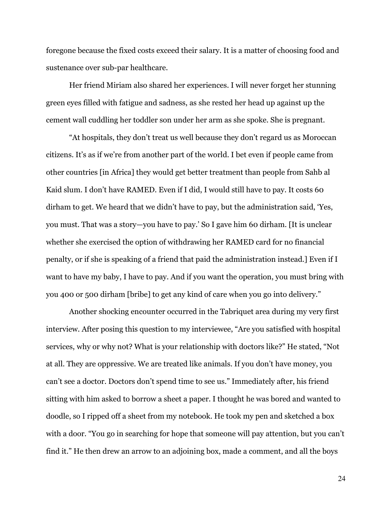foregone because the fixed costs exceed their salary. It is a matter of choosing food and sustenance over sub-par healthcare.

Her friend Miriam also shared her experiences. I will never forget her stunning green eyes filled with fatigue and sadness, as she rested her head up against up the cement wall cuddling her toddler son under her arm as she spoke. She is pregnant.

"At hospitals, they don't treat us well because they don't regard us as Moroccan citizens. It's as if we're from another part of the world. I bet even if people came from other countries [in Africa] they would get better treatment than people from Sahb al Kaid slum. I don't have RAMED. Even if I did, I would still have to pay. It costs 60 dirham to get. We heard that we didn't have to pay, but the administration said, 'Yes, you must. That was a story—you have to pay.' So I gave him 60 dirham. [It is unclear whether she exercised the option of withdrawing her RAMED card for no financial penalty, or if she is speaking of a friend that paid the administration instead.] Even if I want to have my baby, I have to pay. And if you want the operation, you must bring with you 400 or 500 dirham [bribe] to get any kind of care when you go into delivery."

Another shocking encounter occurred in the Tabriquet area during my very first interview. After posing this question to my interviewee, "Are you satisfied with hospital services, why or why not? What is your relationship with doctors like?" He stated, "Not at all. They are oppressive. We are treated like animals. If you don't have money, you can't see a doctor. Doctors don't spend time to see us." Immediately after, his friend sitting with him asked to borrow a sheet a paper. I thought he was bored and wanted to doodle, so I ripped off a sheet from my notebook. He took my pen and sketched a box with a door. "You go in searching for hope that someone will pay attention, but you can't find it." He then drew an arrow to an adjoining box, made a comment, and all the boys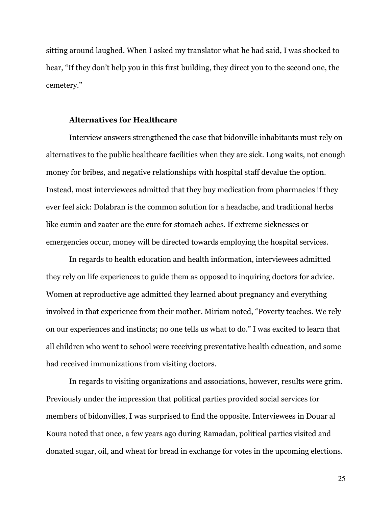sitting around laughed. When I asked my translator what he had said, I was shocked to hear, "If they don't help you in this first building, they direct you to the second one, the cemetery."

#### Alternatives for Healthcare

Interview answers strengthened the case that bidonville inhabitants must rely on alternatives to the public healthcare facilities when they are sick. Long waits, not enough money for bribes, and negative relationships with hospital staff devalue the option. Instead, most interviewees admitted that they buy medication from pharmacies if they ever feel sick: Dolabran is the common solution for a headache, and traditional herbs like cumin and zaater are the cure for stomach aches. If extreme sicknesses or emergencies occur, money will be directed towards employing the hospital services.

In regards to health education and health information, interviewees admitted they rely on life experiences to guide them as opposed to inquiring doctors for advice. Women at reproductive age admitted they learned about pregnancy and everything involved in that experience from their mother. Miriam noted, "Poverty teaches. We rely on our experiences and instincts; no one tells us what to do." I was excited to learn that all children who went to school were receiving preventative health education, and some had received immunizations from visiting doctors.

In regards to visiting organizations and associations, however, results were grim. Previously under the impression that political parties provided social services for members of bidonvilles, I was surprised to find the opposite. Interviewees in Douar al Koura noted that once, a few years ago during Ramadan, political parties visited and donated sugar, oil, and wheat for bread in exchange for votes in the upcoming elections.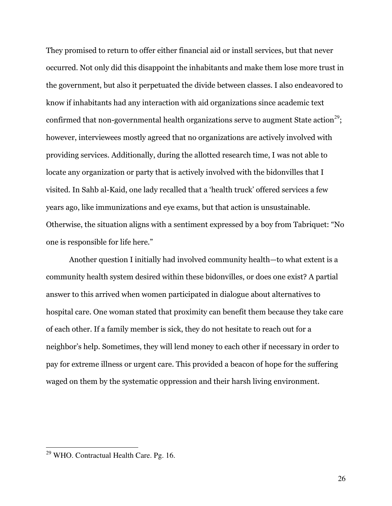They promised to return to offer either financial aid or install services, but that never occurred. Not only did this disappoint the inhabitants and make them lose more trust in the government, but also it perpetuated the divide between classes. I also endeavored to know if inhabitants had any interaction with aid organizations since academic text confirmed that non-governmental health organizations serve to augment State action<sup>29</sup>; however, interviewees mostly agreed that no organizations are actively involved with providing services. Additionally, during the allotted research time, I was not able to locate any organization or party that is actively involved with the bidonvilles that I visited. In Sahb al-Kaid, one lady recalled that a 'health truck' offered services a few years ago, like immunizations and eye exams, but that action is unsustainable. Otherwise, the situation aligns with a sentiment expressed by a boy from Tabriquet: "No one is responsible for life here."

Another question I initially had involved community health—to what extent is a community health system desired within these bidonvilles, or does one exist? A partial answer to this arrived when women participated in dialogue about alternatives to hospital care. One woman stated that proximity can benefit them because they take care of each other. If a family member is sick, they do not hesitate to reach out for a neighbor's help. Sometimes, they will lend money to each other if necessary in order to pay for extreme illness or urgent care. This provided a beacon of hope for the suffering waged on them by the systematic oppression and their harsh living environment.

<sup>&</sup>lt;sup>29</sup> WHO. Contractual Health Care. Pg. 16.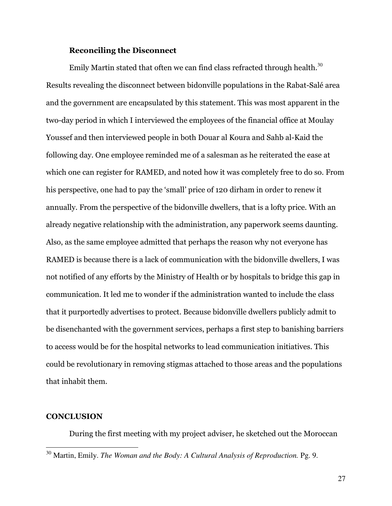#### Reconciling the Disconnect

Emily Martin stated that often we can find class refracted through health.<sup>30</sup> Results revealing the disconnect between bidonville populations in the Rabat-Salé area and the government are encapsulated by this statement. This was most apparent in the two-day period in which I interviewed the employees of the financial office at Moulay Youssef and then interviewed people in both Douar al Koura and Sahb al-Kaid the following day. One employee reminded me of a salesman as he reiterated the ease at which one can register for RAMED, and noted how it was completely free to do so. From his perspective, one had to pay the 'small' price of 120 dirham in order to renew it annually. From the perspective of the bidonville dwellers, that is a lofty price. With an already negative relationship with the administration, any paperwork seems daunting. Also, as the same employee admitted that perhaps the reason why not everyone has RAMED is because there is a lack of communication with the bidonville dwellers, I was not notified of any efforts by the Ministry of Health or by hospitals to bridge this gap in communication. It led me to wonder if the administration wanted to include the class that it purportedly advertises to protect. Because bidonville dwellers publicly admit to be disenchanted with the government services, perhaps a first step to banishing barriers to access would be for the hospital networks to lead communication initiatives. This could be revolutionary in removing stigmas attached to those areas and the populations that inhabit them.

#### **CONCLUSION**

 $\overline{a}$ 

During the first meeting with my project adviser, he sketched out the Moroccan

<sup>&</sup>lt;sup>30</sup> Martin, Emily. *The Woman and the Body: A Cultural Analysis of Reproduction.* Pg. 9.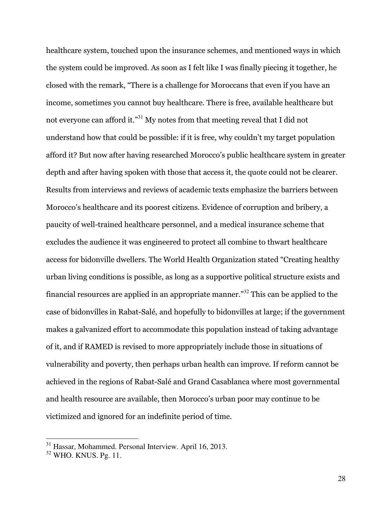healthcare system, touched upon the insurance schemes, and mentioned ways in which the system could be improved. As soon as I felt like I was finally piecing it together, he closed with the remark, "There is a challenge for Moroccans that even if you have an income, sometimes you cannot buy healthcare. There is free, available healthcare but not everyone can afford it."<sup>31</sup> My notes from that meeting reveal that I did not understand how that could be possible: if it is free, why couldn't my target population afford it? But now after having researched Morocco's public healthcare system in greater depth and after having spoken with those that access it, the quote could not be clearer. Results from interviews and reviews of academic texts emphasize the barriers between Morocco's healthcare and its poorest citizens. Evidence of corruption and bribery, a paucity of well-trained healthcare personnel, and a medical insurance scheme that excludes the audience it was engineered to protect all combine to thwart healthcare access for bidonville dwellers. The World Health Organization stated "Creating healthy urban living conditions is possible, as long as a supportive political structure exists and financial resources are applied in an appropriate manner."<sup>32</sup> This can be applied to the case of bidonvilles in Rabat-Salé, and hopefully to bidonvilles at large; if the government makes a galvanized effort to accommodate this population instead of taking advantage of it, and if RAMED is revised to more appropriately include those in situations of vulnerability and poverty, then perhaps urban health can improve. If reform cannot be achieved in the regions of Rabat-Salé and Grand Casablanca where most governmental and health resource are available, then Morocco's urban poor may continue to be victimized and ignored for an indefinite period of time.

<sup>&</sup>lt;sup>31</sup> Hassar, Mohammed. Personal Interview. April 16, 2013.

<sup>32</sup> WHO. KNUS. Pg. 11.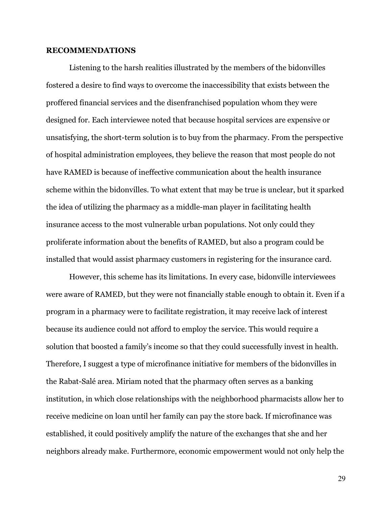#### RECOMMENDATIONS

Listening to the harsh realities illustrated by the members of the bidonvilles fostered a desire to find ways to overcome the inaccessibility that exists between the proffered financial services and the disenfranchised population whom they were designed for. Each interviewee noted that because hospital services are expensive or unsatisfying, the short-term solution is to buy from the pharmacy. From the perspective of hospital administration employees, they believe the reason that most people do not have RAMED is because of ineffective communication about the health insurance scheme within the bidonvilles. To what extent that may be true is unclear, but it sparked the idea of utilizing the pharmacy as a middle-man player in facilitating health insurance access to the most vulnerable urban populations. Not only could they proliferate information about the benefits of RAMED, but also a program could be installed that would assist pharmacy customers in registering for the insurance card.

However, this scheme has its limitations. In every case, bidonville interviewees were aware of RAMED, but they were not financially stable enough to obtain it. Even if a program in a pharmacy were to facilitate registration, it may receive lack of interest because its audience could not afford to employ the service. This would require a solution that boosted a family's income so that they could successfully invest in health. Therefore, I suggest a type of microfinance initiative for members of the bidonvilles in the Rabat-Salé area. Miriam noted that the pharmacy often serves as a banking institution, in which close relationships with the neighborhood pharmacists allow her to receive medicine on loan until her family can pay the store back. If microfinance was established, it could positively amplify the nature of the exchanges that she and her neighbors already make. Furthermore, economic empowerment would not only help the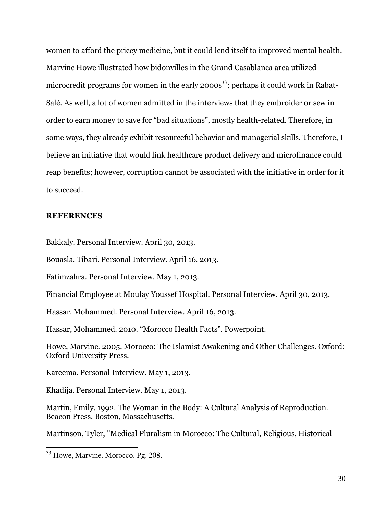women to afford the pricey medicine, but it could lend itself to improved mental health. Marvine Howe illustrated how bidonvilles in the Grand Casablanca area utilized microcredit programs for women in the early  $2000s^{33}$ ; perhaps it could work in Rabat-Salé. As well, a lot of women admitted in the interviews that they embroider or sew in order to earn money to save for "bad situations", mostly health-related. Therefore, in some ways, they already exhibit resourceful behavior and managerial skills. Therefore, I believe an initiative that would link healthcare product delivery and microfinance could reap benefits; however, corruption cannot be associated with the initiative in order for it to succeed.

#### **REFERENCES**

Bakkaly. Personal Interview. April 30, 2013.

Bouasla, Tibari. Personal Interview. April 16, 2013.

Fatimzahra. Personal Interview. May 1, 2013.

Financial Employee at Moulay Youssef Hospital. Personal Interview. April 30, 2013.

Hassar. Mohammed. Personal Interview. April 16, 2013.

Hassar, Mohammed. 2010. "Morocco Health Facts". Powerpoint.

Howe, Marvine. 2005. Morocco: The Islamist Awakening and Other Challenges. Oxford: Oxford University Press.

Kareema. Personal Interview. May 1, 2013.

Khadija. Personal Interview. May 1, 2013.

Martin, Emily. 1992. The Woman in the Body: A Cultural Analysis of Reproduction. Beacon Press. Boston, Massachusetts.

Martinson, Tyler, "Medical Pluralism in Morocco: The Cultural, Religious, Historical

<sup>&</sup>lt;sup>33</sup> Howe, Marvine. Morocco. Pg. 208.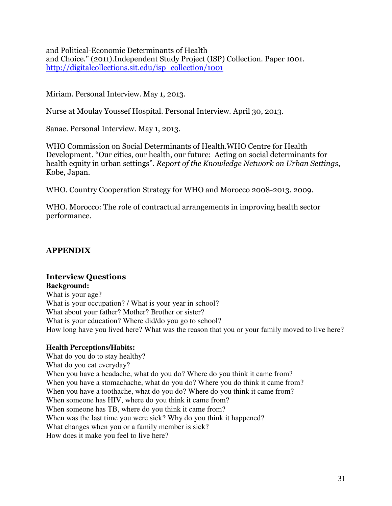and Political-Economic Determinants of Health and Choice." (2011).Independent Study Project (ISP) Collection. Paper 1001. http://digitalcollections.sit.edu/isp\_collection/1001

Miriam. Personal Interview. May 1, 2013.

Nurse at Moulay Youssef Hospital. Personal Interview. April 30, 2013.

Sanae. Personal Interview. May 1, 2013.

WHO Commission on Social Determinants of Health.WHO Centre for Health Development. "Our cities, our health, our future: Acting on social determinants for health equity in urban settings". Report of the Knowledge Network on Urban Settings, Kobe, Japan.

WHO. Country Cooperation Strategy for WHO and Morocco 2008-2013. 2009.

WHO. Morocco: The role of contractual arrangements in improving health sector performance.

## APPENDIX

## Interview Questions

**Background:**  What is your age? What is your occupation? / What is your year in school? What about your father? Mother? Brother or sister? What is your education? Where did/do you go to school? How long have you lived here? What was the reason that you or your family moved to live here?

## **Health Perceptions/Habits:**

What do you do to stay healthy? What do you eat everyday? When you have a headache, what do you do? Where do you think it came from? When you have a stomachache, what do you do? Where you do think it came from? When you have a toothache, what do you do? Where do you think it came from? When someone has HIV, where do you think it came from? When someone has TB, where do you think it came from? When was the last time you were sick? Why do you think it happened? What changes when you or a family member is sick? How does it make you feel to live here?